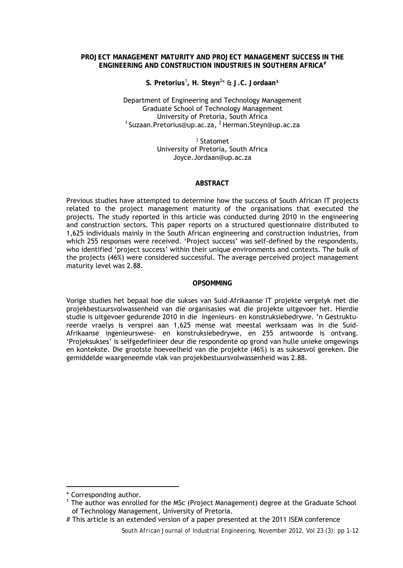## **PROJECT MANAGEMENT MATURITY AND PROJECT MANAGEMENT SUCCESS IN THE ENGINEERING AND CONSTRUCTION INDUSTRIES IN SOUTHERN AFRICA#**

**S. Pretorius**[1](#page-0-0) **, H. Steyn**<sup>2</sup> \* & **J.C. Jordaan³**

Department of Engineering and Technology Management Graduate School of Technology Management  $1$  Suzaan. Pretorius@up.ac.za,  $2$  Herman. Steyn@up.ac.za

> ³ Statomet University of Pretoria, South Africa [Joyce.Jordaan@up.ac.za](mailto:Joyce.Jordaan@up.ac.za)

#### **ABSTRACT**

Previous studies have attempted to determine how the success of South African IT projects related to the project management maturity of the organisations that executed the projects. The study reported in this article was conducted during 2010 in the engineering and construction sectors. This paper reports on a structured questionnaire distributed to 1,625 individuals mainly in the South African engineering and construction industries, from which 255 responses were received. 'Project success' was self-defined by the respondents, who identified 'project success' within their unique environments and contexts. The bulk of the projects (46%) were considered successful. The average perceived project management maturity level was 2.88.

## **OPSOMMING**

Vorige studies het bepaal hoe die sukses van Suid-Afrikaanse IT projekte vergelyk met die projekbestuursvolwassenheid van die organisasies wat die projekte uitgevoer het. Hierdie studie is uitgevoer gedurende 2010 in die ingenieurs- en konstruksiebedrywe. 'n Gestruktureerde vraelys is versprei aan 1,625 mense wat meestal werksaam was in die Suid-Afrikaanse ingenieurswese- en konstruksiebedrywe, en 255 antwoorde is ontvang. 'Projeksukses' is selfgedefinieer deur die respondente op grond van hulle unieke omgewings en kontekste. Die grootste hoeveelheid van die projekte (46%) is as suksesvol gereken. Die gemiddelde waargeneemde vlak van projekbestuursvolwassenheid was 2.88.

-

<span id="page-0-0"></span><sup>\*</sup> Corresponding author.

<sup>&</sup>lt;sup>1</sup> The author was enrolled for the MSc (Project Management) degree at the Graduate School of Technology Management, University of Pretoria.

<sup>#</sup> This article is an extended version of a paper presented at the 2011 ISEM conference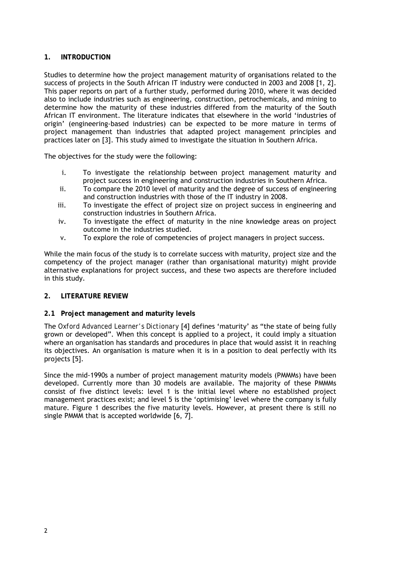# **1. INTRODUCTION**

Studies to determine how the project management maturity of organisations related to the success of projects in the South African IT industry were conducted in 2003 and 2008 [1, 2]. This paper reports on part of a further study, performed during 2010, where it was decided also to include industries such as engineering, construction, petrochemicals, and mining to determine how the maturity of these industries differed from the maturity of the South African IT environment. The literature indicates that elsewhere in the world 'industries of origin' (engineering-based industries) can be expected to be more mature in terms of project management than industries that adapted project management principles and practices later on [3]. This study aimed to investigate the situation in Southern Africa.

The objectives for the study were the following:

- i. To investigate the relationship between project management maturity and project success in engineering and construction industries in Southern Africa.
- ii. To compare the 2010 level of maturity and the degree of success of engineering and construction industries with those of the IT industry in 2008.
- iii. To investigate the effect of project size on project success in engineering and construction industries in Southern Africa.
- iv. To investigate the effect of maturity in the nine knowledge areas on project outcome in the industries studied.
- v. To explore the role of competencies of project managers in project success.

While the main focus of the study is to correlate success with maturity, project size and the competency of the project manager (rather than organisational maturity) might provide alternative explanations for project success, and these two aspects are therefore included in this study.

## **2. LITERATURE REVIEW**

## **2.1 Project management and maturity levels**

The *Oxford Advanced Learner's Dictionary* [4] defines 'maturity' as "the state of being fully grown or developed". When this concept is applied to a project, it could imply a situation where an organisation has standards and procedures in place that would assist it in reaching its objectives. An organisation is mature when it is in a position to deal perfectly with its projects [5].

Since the mid-1990s a number of project management maturity models (PMMMs) have been developed. Currently more than 30 models are available. The majority of these PMMMs consist of five distinct levels: level 1 is the initial level where no established project management practices exist; and level 5 is the 'optimising' level where the company is fully mature. Figure 1 describes the five maturity levels. However, at present there is still no single PMMM that is accepted worldwide [6, 7].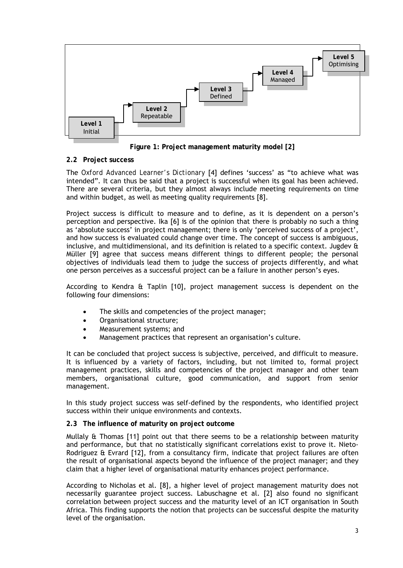

**Figure 1: Project management maturity model [2]**

# **2.2 Project success**

The *Oxford Advanced Learner's Dictionary* [4] defines 'success' as "to achieve what was intended". It can thus be said that a project is successful when its goal has been achieved. There are several criteria, but they almost always include meeting requirements on time and within budget, as well as meeting quality requirements [8].

Project success is difficult to measure and to define, as it is dependent on a person's perception and perspective. Ika [6] is of the opinion that there is probably no such a thing as 'absolute success' in project management; there is only 'perceived success of a project', and how success is evaluated could change over time. The concept of success is ambiguous, inclusive, and multidimensional, and its definition is related to a specific context. Jugdev  $\hat{\mathbf{a}}$ Müller [9] agree that success means different things to different people; the personal objectives of individuals lead them to judge the success of projects differently, and what one person perceives as a successful project can be a failure in another person's eyes.

According to Kendra & Taplin [10], project management success is dependent on the following four dimensions:

- The skills and competencies of the project manager;
- Organisational structure;
- Measurement systems; and
- Management practices that represent an organisation's culture.

It can be concluded that project success is subjective, perceived, and difficult to measure. It is influenced by a variety of factors, including, but not limited to, formal project management practices, skills and competencies of the project manager and other team members, organisational culture, good communication, and support from senior management.

In this study project success was self-defined by the respondents, who identified project success within their unique environments and contexts.

## **2.3 The influence of maturity on project outcome**

Mullaly & Thomas [11] point out that there seems to be a relationship between maturity and performance, but that no statistically significant correlations exist to prove it. Nieto-Rodriguez & Evrard [12], from a consultancy firm, indicate that project failures are often the result of organisational aspects beyond the influence of the project manager; and they claim that a higher level of organisational maturity enhances project performance.

According to Nicholas et al. [8], a higher level of project management maturity does not necessarily guarantee project success. Labuschagne et al. [2] also found no significant correlation between project success and the maturity level of an ICT organisation in South Africa. This finding supports the notion that projects can be successful despite the maturity level of the organisation.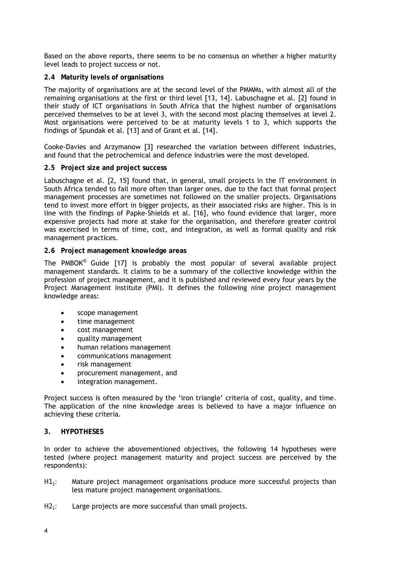Based on the above reports, there seems to be no consensus on whether a higher maturity level leads to project success or not.

## **2.4 Maturity levels of organisations**

The majority of organisations are at the second level of the PMMMs, with almost all of the remaining organisations at the first or third level [13, 14]. Labuschagne et al. [2] found in their study of ICT organisations in South Africa that the highest number of organisations perceived themselves to be at level 3, with the second most placing themselves at level 2. Most organisations were perceived to be at maturity levels 1 to 3, which supports the findings of Spundak et al. [13] and of Grant et al. [14].

Cooke-Davies and Arzymanow [3] researched the variation between different industries, and found that the petrochemical and defence industries were the most developed.

## **2.5 Project size and project success**

Labuschagne et al. [2, 15] found that, in general, small projects in the IT environment in South Africa tended to fail more often than larger ones, due to the fact that formal project management processes are sometimes not followed on the smaller projects. Organisations tend to invest more effort in bigger projects, as their associated risks are higher. This is in line with the findings of Papke-Shields et al. [16], who found evidence that larger, more expensive projects had more at stake for the organisation, and therefore greater control was exercised in terms of time, cost, and integration, as well as formal quality and risk management practices.

## **2.6 Project management knowledge areas**

The PMBOK® Guide [17] is probably the most popular of several available project management standards. It claims to be a summary of the collective knowledge within the profession of project management, and it is published and reviewed every four years by the Project Management Institute (PMI). It defines the following nine project management knowledge areas:

- scope management
- time management
- cost management
- quality management
- human relations management
- communications management
- risk management
- procurement management, and
- integration management.

Project success is often measured by the 'iron triangle' criteria of cost, quality, and time. The application of the nine knowledge areas is believed to have a major influence on achieving these criteria.

#### **3. HYPOTHESES**

In order to achieve the abovementioned objectives, the following 14 hypotheses were tested (where project management maturity and project success are perceived by the respondents):

- *H11:* Mature project management organisations produce more successful projects than less mature project management organisations.
- *H2<sub>1</sub>:* Large projects are more successful than small projects.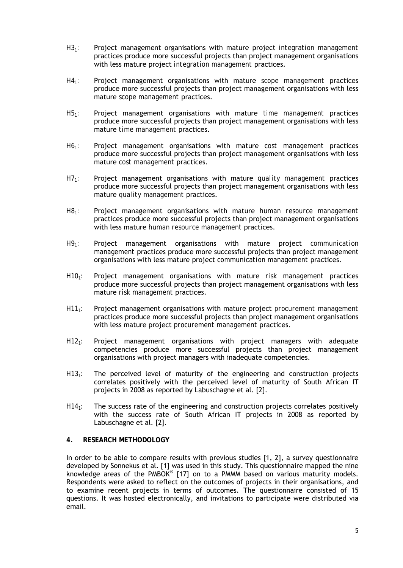- *H31:* Project management organisations with mature project *integration management* practices produce more successful projects than project management organisations with less mature project *integration management* practices.
- *H41:* Project management organisations with mature *scope management* practices produce more successful projects than project management organisations with less mature *scope management* practices.
- *H51:* Project management organisations with mature *time management* practices produce more successful projects than project management organisations with less mature *time management* practices.
- *H61:* Project management organisations with mature *cost management* practices produce more successful projects than project management organisations with less mature *cost management* practices.
- *H71:* Project management organisations with mature *quality management* practices produce more successful projects than project management organisations with less mature *quality management* practices.
- *H81:* Project management organisations with mature *human resource management* practices produce more successful projects than project management organisations with less mature *human resource management* practices.
- *H91:* Project management organisations with mature project *communication management* practices produce more successful projects than project management organisations with less mature project *communication management* practices.
- *H101:* Project management organisations with mature *risk management* practices produce more successful projects than project management organisations with less mature *risk management* practices.
- *H111:* Project management organisations with mature project *procurement management* practices produce more successful projects than project management organisations with less mature project *procurement management* practices.
- *H121:* Project management organisations with project managers with adequate competencies produce more successful projects than project management organisations with project managers with inadequate competencies.
- *H131:* The perceived level of maturity of the engineering and construction projects correlates positively with the perceived level of maturity of South African IT projects in 2008 as reported by Labuschagne et al. [2].
- *H141:* The success rate of the engineering and construction projects correlates positively with the success rate of South African IT projects in 2008 as reported by Labuschagne et al. [2].

# **4. RESEARCH METHODOLOGY**

In order to be able to compare results with previous studies [1, 2], a survey questionnaire developed by Sonnekus et al. [1] was used in this study. This questionnaire mapped the nine knowledge areas of the PMBOK*®* [17] on to a PMMM based on various maturity models. Respondents were asked to reflect on the outcomes of projects in their organisations, and to examine recent projects in terms of outcomes. The questionnaire consisted of 15 questions. It was hosted electronically, and invitations to participate were distributed via email.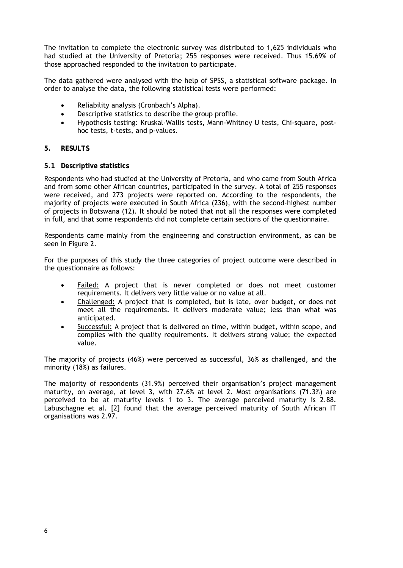The invitation to complete the electronic survey was distributed to 1,625 individuals who had studied at the University of Pretoria; 255 responses were received. Thus 15.69% of those approached responded to the invitation to participate.

The data gathered were analysed with the help of SPSS, a statistical software package. In order to analyse the data, the following statistical tests were performed:

- Reliability analysis (Cronbach's Alpha).
- Descriptive statistics to describe the group profile.
- Hypothesis testing: Kruskal-Wallis tests, Mann-Whitney U tests, Chi-square, posthoc tests, t-tests, and p-values.

# **5. RESULTS**

## **5.1 Descriptive statistics**

Respondents who had studied at the University of Pretoria, and who came from South Africa and from some other African countries, participated in the survey. A total of 255 responses were received, and 273 projects were reported on. According to the respondents, the majority of projects were executed in South Africa (236), with the second-highest number of projects in Botswana (12). It should be noted that not all the responses were completed in full, and that some respondents did not complete certain sections of the questionnaire.

Respondents came mainly from the engineering and construction environment, as can be seen in Figure 2.

For the purposes of this study the three categories of project outcome were described in the questionnaire as follows:

- Failed: A project that is never completed or does not meet customer requirements. It delivers very little value or no value at all.
- Challenged: A project that is completed, but is late, over budget, or does not meet all the requirements. It delivers moderate value; less than what was anticipated.
- Successful: A project that is delivered on time, within budget, within scope, and complies with the quality requirements. It delivers strong value; the expected value.

The majority of projects (46%) were perceived as successful, 36% as challenged, and the minority (18%) as failures.

The majority of respondents (31.9%) perceived their organisation's project management maturity, on average, at level 3, with 27.6% at level 2. Most organisations (71.3%) are perceived to be at maturity levels 1 to 3. The average perceived maturity is 2.88. Labuschagne et al. [2] found that the average perceived maturity of South African IT organisations was 2.97.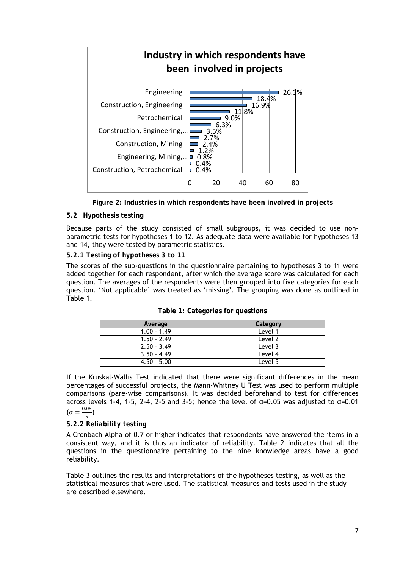

**Figure 2: Industries in which respondents have been involved in projects**

# **5.2 Hypothesis testing**

Because parts of the study consisted of small subgroups, it was decided to use nonparametric tests for hypotheses 1 to 12. As adequate data were available for hypotheses 13 and 14, they were tested by parametric statistics.

# *5.2.1 Testing of hypotheses 3 to 11*

The scores of the sub-questions in the questionnaire pertaining to hypotheses 3 to 11 were added together for each respondent, after which the average score was calculated for each question. The averages of the respondents were then grouped into five categories for each question. 'Not applicable' was treated as 'missing'. The grouping was done as outlined in Table 1.

| Average       | Category |
|---------------|----------|
| $1.00 - 1.49$ | Level 1  |
| $1.50 - 2.49$ | Level 2  |
| $2.50 - 3.49$ | Level 3  |
| $3.50 - 4.49$ | Level 4  |
| $4.50 - 5.00$ | Level 5  |

If the Kruskal-Wallis Test indicated that there were significant differences in the mean percentages of successful projects, the Mann-Whitney U Test was used to perform multiple comparisons (pare-wise comparisons). It was decided beforehand to test for differences across levels 1-4, 1-5, 2-4, 2-5 and 3-5; hence the level of  $\alpha$ =0.05 was adjusted to  $\alpha$ =0.01  $(\alpha = \frac{0.05}{5})$ .

# *5.2.2 Reliability testing*

A Cronbach Alpha of 0.7 or higher indicates that respondents have answered the items in a consistent way, and it is thus an indicator of reliability. Table 2 indicates that all the questions in the questionnaire pertaining to the nine knowledge areas have a good reliability.

Table 3 outlines the results and interpretations of the hypotheses testing, as well as the statistical measures that were used. The statistical measures and tests used in the study are described elsewhere.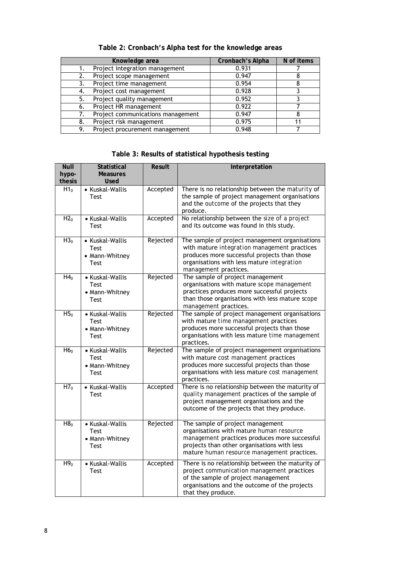|    | Knowledge area                    | Cronbach's Alpha | N of items |
|----|-----------------------------------|------------------|------------|
|    | Project integration management    | 0.931            |            |
|    | Project scope management          | 0.947            |            |
|    | Project time management           | 0.954            |            |
| 4. | Project cost management           | 0.928            |            |
| 5. | Project quality management        | 0.952            |            |
| 6. | Project HR management             | 0.922            |            |
|    | Project communications management | 0.947            |            |
| 8. | Project risk management           | 0.975            |            |
| 9. | Project procurement management    | 0.948            |            |

**Table 2: Cronbach's Alpha test for the knowledge areas**

# **Table 3: Results of statistical hypothesis testing**

| <b>Null</b><br>hypo-<br>thesis | <b>Statistical</b><br><b>Measures</b><br>Used            | <b>Result</b> | Interpretation                                                                                                                                                                                                              |
|--------------------------------|----------------------------------------------------------|---------------|-----------------------------------------------------------------------------------------------------------------------------------------------------------------------------------------------------------------------------|
| H1 <sub>0</sub>                | • Kuskal-Wallis<br>Test                                  | Accepted      | There is no relationship between the maturity of<br>the sample of project management organisations<br>and the outcome of the projects that they<br>produce.                                                                 |
| H2 <sub>0</sub>                | • Kuskal-Wallis<br>Test                                  | Accepted      | No relationship between the size of a project<br>and its outcome was found in this study.                                                                                                                                   |
| H3 <sub>0</sub>                | • Kuskal-Wallis<br>Test<br>• Mann-Whitney<br>Test        | Rejected      | The sample of project management organisations<br>with mature integration management practices<br>produces more successful projects than those<br>organisations with less mature integration<br>management practices.       |
| H4 <sub>0</sub>                | • Kuskal-Wallis<br>Test<br>• Mann-Whitney<br>Test        | Rejected      | The sample of project management<br>organisations with mature scope management<br>practices produces more successful projects<br>than those organisations with less mature scope<br>management practices.                   |
| H5 <sub>0</sub>                | • Kuskal-Wallis<br><b>Test</b><br>• Mann-Whitney<br>Test | Rejected      | The sample of project management organisations<br>with mature time management practices<br>produces more successful projects than those<br>organisations with less mature time management<br>practices.                     |
| H6 <sub>o</sub>                | • Kuskal-Wallis<br>Test<br>• Mann-Whitney<br><b>Test</b> | Rejected      | The sample of project management organisations<br>with mature cost management practices<br>produces more successful projects than those<br>organisations with less mature cost management<br>practices.                     |
| H7 <sub>0</sub>                | • Kuskal-Wallis<br>Test                                  | Accepted      | There is no relationship between the maturity of<br>quality management practices of the sample of<br>project management organisations and the<br>outcome of the projects that they produce.                                 |
| H8 <sub>0</sub>                | • Kuskal-Wallis<br>Test<br>• Mann-Whitney<br>Test        | Rejected      | The sample of project management<br>organisations with mature human resource<br>management practices produces more successful<br>projects than other organisations with less<br>mature human resource management practices. |
| H9 <sub>0</sub>                | • Kuskal-Wallis<br>Test                                  | Accepted      | There is no relationship between the maturity of<br>project communication management practices<br>of the sample of project management<br>organisations and the outcome of the projects<br>that they produce.                |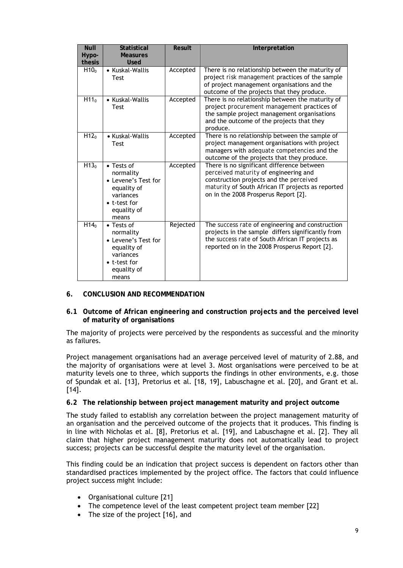| <b>Null</b><br>Hypo-<br>thesis | <b>Statistical</b><br><b>Measures</b><br><b>Used</b>                                                                       | Result   | Interpretation                                                                                                                                                                                                              |
|--------------------------------|----------------------------------------------------------------------------------------------------------------------------|----------|-----------------------------------------------------------------------------------------------------------------------------------------------------------------------------------------------------------------------------|
| H10 <sub>o</sub>               | • Kuskal-Wallis<br><b>Test</b>                                                                                             | Accepted | There is no relationship between the maturity of<br>project risk management practices of the sample<br>of project management organisations and the<br>outcome of the projects that they produce.                            |
| H11 <sub>0</sub>               | • Kuskal-Wallis<br><b>Test</b>                                                                                             | Accepted | There is no relationship between the maturity of<br>project procurement management practices of<br>the sample project management organisations<br>and the outcome of the projects that they<br>produce.                     |
| H12 <sub>0</sub>               | • Kuskal-Wallis<br><b>Test</b>                                                                                             | Accepted | There is no relationship between the sample of<br>project management organisations with project<br>managers with adequate competencies and the<br>outcome of the projects that they produce.                                |
| H13 <sub>o</sub>               | $\bullet$ Tests of<br>normality<br>• Levene's Test for<br>equality of<br>variances<br>• t-test for<br>equality of<br>means | Accepted | There is no significant difference between<br>perceived maturity of engineering and<br>construction projects and the perceived<br>maturity of South African IT projects as reported<br>on in the 2008 Prosperus Report [2]. |
| H14 <sub>0</sub>               | $\bullet$ Tests of<br>normality<br>• Levene's Test for<br>equality of<br>variances<br>• t-test for<br>equality of<br>means | Rejected | The success rate of engineering and construction<br>projects in the sample differs significantly from<br>the success rate of South African IT projects as<br>reported on in the 2008 Prosperus Report [2].                  |

## **6. CONCLUSION AND RECOMMENDATION**

**6.1 Outcome of African engineering and construction projects and the perceived level of maturity of organisations** 

The majority of projects were perceived by the respondents as successful and the minority as failures.

Project management organisations had an average perceived level of maturity of 2.88, and the majority of organisations were at level 3. Most organisations were perceived to be at maturity levels one to three, which supports the findings in other environments, e.g. those of Spundak et al. [13], Pretorius et al. [18, 19], Labuschagne et al. [20], and Grant et al.  $[14]$ .

## **6.2 The relationship between project management maturity and project outcome**

The study failed to establish any correlation between the project management maturity of an organisation and the perceived outcome of the projects that it produces. This finding is in line with Nicholas et al. [8], Pretorius et al. [19], and Labuschagne et al. [2]. They all claim that higher project management maturity does not automatically lead to project success; projects can be successful despite the maturity level of the organisation.

This finding could be an indication that project success is dependent on factors other than standardised practices implemented by the project office. The factors that could influence project success might include:

- Organisational culture [21]
- The competence level of the least competent project team member [22]
- The size of the project [16], and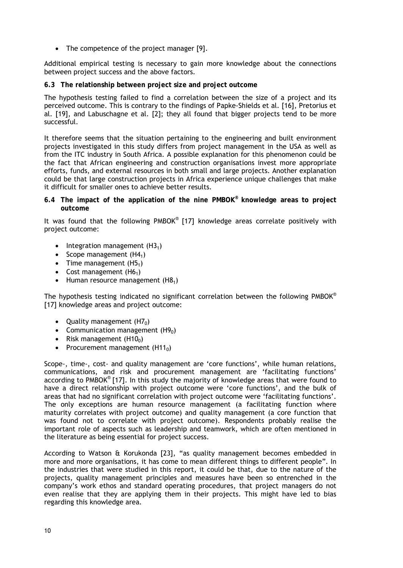• The competence of the project manager [9].

Additional empirical testing is necessary to gain more knowledge about the connections between project success and the above factors.

**6.3 The relationship between project size and project outcome**

The hypothesis testing failed to find a correlation between the size of a project and its perceived outcome. This is contrary to the findings of Papke-Shields et al. [16], Pretorius et al. [19], and Labuschagne et al. [2]; they all found that bigger projects tend to be more successful.

It therefore seems that the situation pertaining to the engineering and built environment projects investigated in this study differs from project management in the USA as well as from the ITC industry in South Africa. A possible explanation for this phenomenon could be the fact that African engineering and construction organisations invest more appropriate efforts, funds, and external resources in both small and large projects. Another explanation could be that large construction projects in Africa experience unique challenges that make it difficult for smaller ones to achieve better results.

**6.4 The impact of the application of the nine PMBOK® knowledge areas to project outcome**

It was found that the following PMBOK® [17] knowledge areas correlate positively with project outcome:

- Integration management  $(H3<sub>1</sub>)$
- Scope management  $(H4<sub>1</sub>)$
- Time management  $(H5<sub>1</sub>)$
- Cost management  $(H6<sub>1</sub>)$
- Human resource management  $(H8<sub>1</sub>)$

The hypothesis testing indicated no significant correlation between the following PMBOK® [17] knowledge areas and project outcome:

- Quality management  $(H7_0)$
- Communication management  $(H9<sub>0</sub>)$
- Risk management  $(H10_0)$
- Procurement management  $(H11<sub>0</sub>)$

Scope-, time-, cost- and quality management are 'core functions', while human relations, communications, and risk and procurement management are 'facilitating functions' according to PMBOK® [17]. In this study the majority of knowledge areas that were found to have a direct relationship with project outcome were 'core functions', and the bulk of areas that had no significant correlation with project outcome were 'facilitating functions'. The only exceptions are human resource management (a facilitating function where maturity correlates with project outcome) and quality management (a core function that was found not to correlate with project outcome). Respondents probably realise the important role of aspects such as leadership and teamwork, which are often mentioned in the literature as being essential for project success.

According to Watson & Korukonda [23], "as quality management becomes embedded in more and more organisations, it has come to mean different things to different people". In the industries that were studied in this report, it could be that, due to the nature of the projects, quality management principles and measures have been so entrenched in the company's work ethos and standard operating procedures, that project managers do not even realise that they are applying them in their projects. This might have led to bias regarding this knowledge area.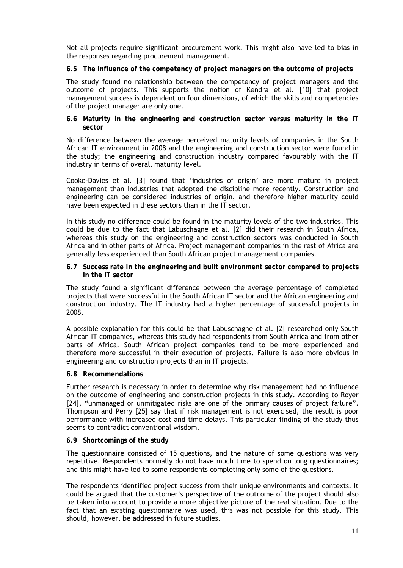Not all projects require significant procurement work. This might also have led to bias in the responses regarding procurement management.

**6.5 The influence of the competency of project managers on the outcome of projects** 

The study found no relationship between the competency of project managers and the outcome of projects. This supports the notion of Kendra et al. [10] that project management success is dependent on four dimensions, of which the skills and competencies of the project manager are only one.

**6.6 Maturity in the engineering and construction sector versus maturity in the IT sector**

No difference between the average perceived maturity levels of companies in the South African IT environment in 2008 and the engineering and construction sector were found in the study; the engineering and construction industry compared favourably with the IT industry in terms of overall maturity level.

Cooke-Davies et al. [3] found that 'industries of origin' are more mature in project management than industries that adopted the discipline more recently. Construction and engineering can be considered industries of origin, and therefore higher maturity could have been expected in these sectors than in the IT sector.

In this study no difference could be found in the maturity levels of the two industries. This could be due to the fact that Labuschagne et al. [2] did their research in South Africa, whereas this study on the engineering and construction sectors was conducted in South Africa and in other parts of Africa. Project management companies in the rest of Africa are generally less experienced than South African project management companies.

**6.7 Success rate in the engineering and built environment sector compared to projects in the IT sector** 

The study found a significant difference between the average percentage of completed projects that were successful in the South African IT sector and the African engineering and construction industry. The IT industry had a higher percentage of successful projects in 2008.

A possible explanation for this could be that Labuschagne et al. [2] researched only South African IT companies, whereas this study had respondents from South Africa and from other parts of Africa. South African project companies tend to be more experienced and therefore more successful in their execution of projects. Failure is also more obvious in engineering and construction projects than in IT projects.

#### **6.8 Recommendations**

Further research is necessary in order to determine why risk management had no influence on the outcome of engineering and construction projects in this study. According to Royer [24], "unmanaged or unmitigated risks are one of the primary causes of project failure". Thompson and Perry [25] say that if risk management is not exercised, the result is poor performance with increased cost and time delays. This particular finding of the study thus seems to contradict conventional wisdom.

## **6.9 Shortcomings of the study**

The questionnaire consisted of 15 questions, and the nature of some questions was very repetitive. Respondents normally do not have much time to spend on long questionnaires; and this might have led to some respondents completing only some of the questions.

The respondents identified project success from their unique environments and contexts. It could be argued that the customer's perspective of the outcome of the project should also be taken into account to provide a more objective picture of the real situation. Due to the fact that an existing questionnaire was used, this was not possible for this study. This should, however, be addressed in future studies.